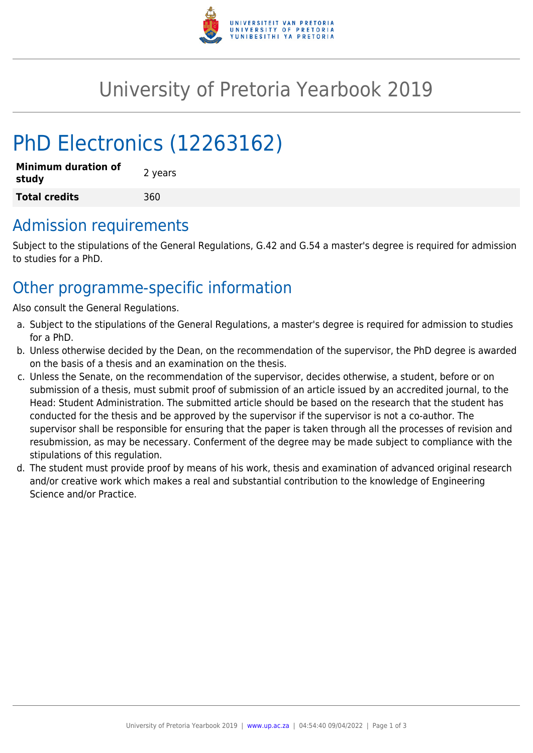

# University of Pretoria Yearbook 2019

# PhD Electronics (12263162)

| <b>Minimum duration of</b><br>study | 2 years |
|-------------------------------------|---------|
| <b>Total credits</b>                | 360     |

### Admission requirements

Subject to the stipulations of the General Regulations, G.42 and G.54 a master's degree is required for admission to studies for a PhD.

## Other programme-specific information

Also consult the General Regulations.

- a. Subject to the stipulations of the General Regulations, a master's degree is required for admission to studies for a PhD.
- b. Unless otherwise decided by the Dean, on the recommendation of the supervisor, the PhD degree is awarded on the basis of a thesis and an examination on the thesis.
- c. Unless the Senate, on the recommendation of the supervisor, decides otherwise, a student, before or on submission of a thesis, must submit proof of submission of an article issued by an accredited journal, to the Head: Student Administration. The submitted article should be based on the research that the student has conducted for the thesis and be approved by the supervisor if the supervisor is not a co-author. The supervisor shall be responsible for ensuring that the paper is taken through all the processes of revision and resubmission, as may be necessary. Conferment of the degree may be made subject to compliance with the stipulations of this regulation.
- d. The student must provide proof by means of his work, thesis and examination of advanced original research and/or creative work which makes a real and substantial contribution to the knowledge of Engineering Science and/or Practice.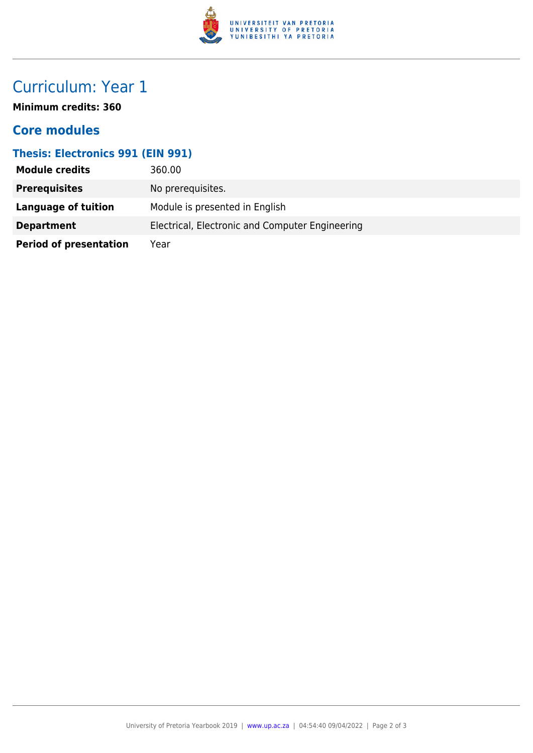

# Curriculum: Year 1

**Minimum credits: 360**

#### **Core modules**

#### **Thesis: Electronics 991 (EIN 991)**

| <b>Module credits</b>         | 360.00                                          |
|-------------------------------|-------------------------------------------------|
| <b>Prerequisites</b>          | No prerequisites.                               |
| Language of tuition           | Module is presented in English                  |
| <b>Department</b>             | Electrical, Electronic and Computer Engineering |
| <b>Period of presentation</b> | Year                                            |